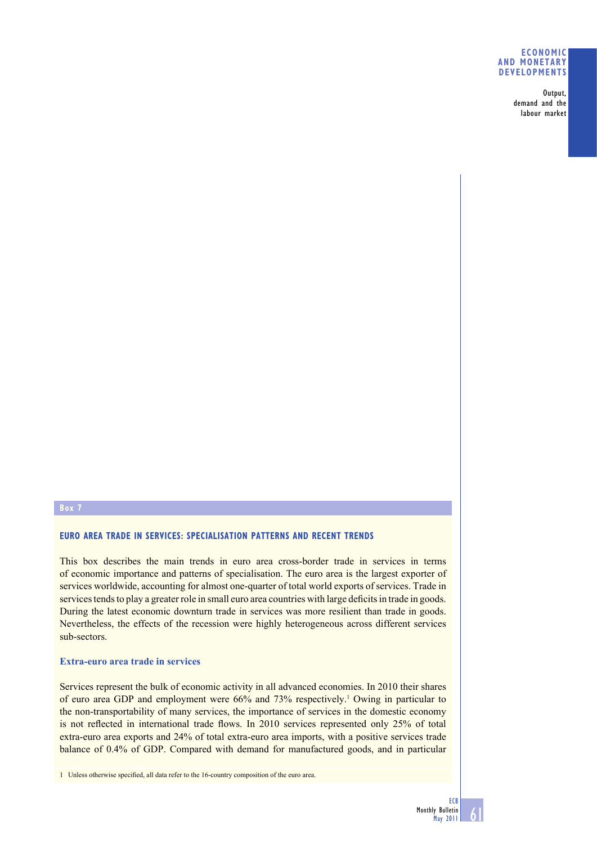## **ECONOMIC AND MONETARY DEVELOPMENTS**

Output, demand and the labour market

## **EURO AREA TRADE IN SERVICES: SPECIALISATION PATTERNS AND RECENT TRENDS**

This box describes the main trends in euro area cross-border trade in services in terms of economic importance and patterns of specialisation. The euro area is the largest exporter of services worldwide, accounting for almost one-quarter of total world exports of services. Trade in services tends to play a greater role in small euro area countries with large deficits in trade in goods. During the latest economic downturn trade in services was more resilient than trade in goods. Nevertheless, the effects of the recession were highly heterogeneous across different services sub-sectors.

#### **Extra-euro area trade in services**

Services represent the bulk of economic activity in all advanced economies. In 2010 their shares of euro area GDP and employment were 66% and 73% respectively.<sup>1</sup> Owing in particular to the non-transportability of many services, the importance of services in the domestic economy is not reflected in international trade flows. In 2010 services represented only 25% of total extra-euro area exports and 24% of total extra-euro area imports, with a positive services trade balance of 0.4% of GDP. Compared with demand for manufactured goods, and in particular

1 Unless otherwise specified, all data refer to the 16-country composition of the euro area.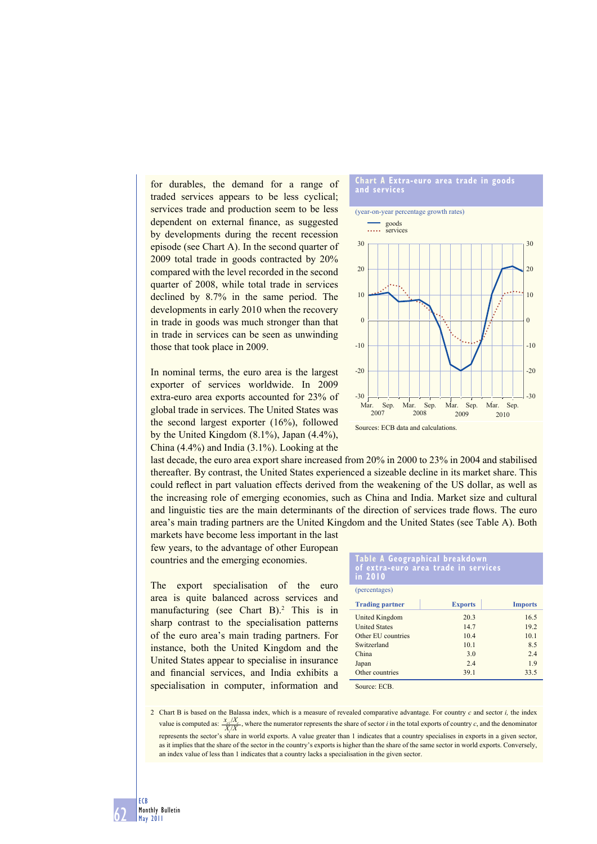for durables, the demand for a range of traded services appears to be less cyclical; services trade and production seem to be less dependent on external finance, as suggested by developments during the recent recession episode (see Chart A). In the second quarter of 2009 total trade in goods contracted by 20% compared with the level recorded in the second quarter of 2008, while total trade in services declined by 8.7% in the same period. The developments in early 2010 when the recovery in trade in goods was much stronger than that in trade in services can be seen as unwinding those that took place in 2009.

In nominal terms, the euro area is the largest exporter of services worldwide. In 2009 extra-euro area exports accounted for 23% of global trade in services. The United States was the second largest exporter (16%), followed by the United Kingdom (8.1%), Japan (4.4%), China (4.4%) and India (3.1%). Looking at the

last decade, the euro area export share increased from 20% in 2000 to 23% in 2004 and stabilised thereafter. By contrast, the United States experienced a sizeable decline in its market share. This could reflect in part valuation effects derived from the weakening of the US dollar, as well as the increasing role of emerging economies, such as China and India. Market size and cultural and linguistic ties are the main determinants of the direction of services trade flows. The euro area's main trading partners are the United Kingdom and the United States (see Table A). Both

markets have become less important in the last few years, to the advantage of other European countries and the emerging economies.

The export specialisation of the euro area is quite balanced across services and manufacturing (see Chart B).<sup>2</sup> This is in sharp contrast to the specialisation patterns of the euro area's main trading partners. For instance, both the United Kingdom and the United States appear to specialise in insurance and financial services, and India exhibits a specialisation in computer, information and





## **Table A Geographical breakdown of extra-euro area trade in services in 2010**

| (percentages)          |                |                |
|------------------------|----------------|----------------|
| <b>Trading partner</b> | <b>Exports</b> | <b>Imports</b> |
| United Kingdom         | 20.3           | 16.5           |
| <b>United States</b>   | 14.7           | 19.2           |
| Other EU countries     | 10.4           | 10.1           |
| Switzerland            | 10.1           | 8.5            |
| China                  | 3.0            | 2.4            |
| Japan                  | 24             | 1.9            |
| Other countries        | 39.1           | 33.5           |

Source: ECB.

2 Chart B is based on the Balassa index, which is a measure of revealed comparative advantage. For country *c* and sector *i,* the index value is computed as:  $\frac{x_{ci}/X_c}{X_i/X}$ , where the numerator represents the share of sector *i* in the total exports of country *c*, and the denominator represents the sector's share in world exports. A value greater than 1 indicates that a country specialises in exports in a given sector, as it implies that the share of the sector in the country's exports is higher than the share of the same sector in world exports. Conversely, an index value of less than 1 indicates that a country lacks a specialisation in the given sector.

62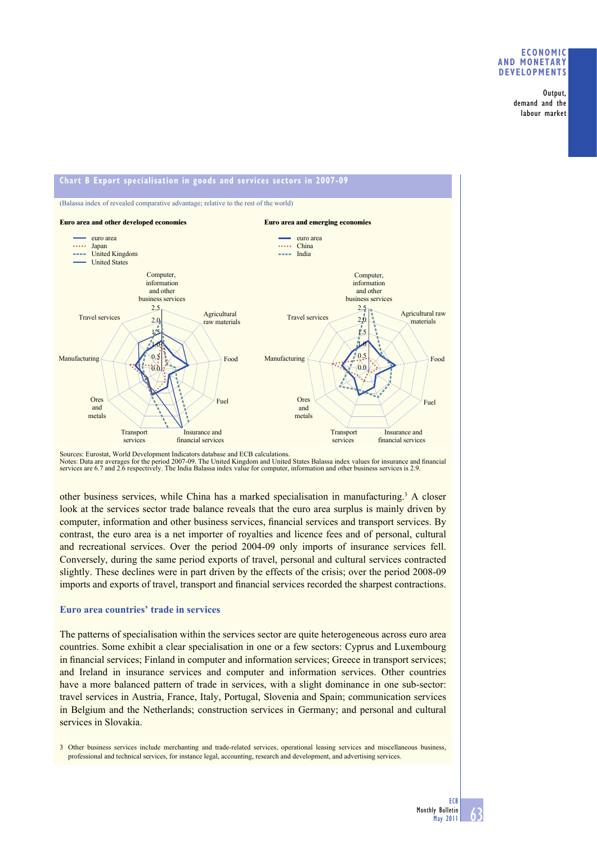## **ECONOMIC AND MONETARY DEVELOPMENTS**

Output, demand and the labour market



Sources: Eurostat, World Development Indicators database and ECB calculations.<br>Notes: Data are averages for the period 2007-09. The United Kingdom and United States Balassa index values for insurance and financial services are 6.7 and 2.6 respectively. The India Balassa index value for computer, information and other business services is 2.9.

other business services, while China has a marked specialisation in manufacturing.<sup>3</sup> A closer look at the services sector trade balance reveals that the euro area surplus is mainly driven by computer, information and other business services, financial services and transport services. By contrast, the euro area is a net importer of royalties and licence fees and of personal, cultural and recreational services. Over the period 2004-09 only imports of insurance services fell. Conversely, during the same period exports of travel, personal and cultural services contracted slightly. These declines were in part driven by the effects of the crisis; over the period 2008-09 imports and exports of travel, transport and financial services recorded the sharpest contractions.

## **Euro area countries' trade in services**

The patterns of specialisation within the services sector are quite heterogeneous across euro area countries. Some exhibit a clear specialisation in one or a few sectors: Cyprus and Luxembourg in financial services; Finland in computer and information services; Greece in transport services; and Ireland in insurance services and computer and information services. Other countries have a more balanced pattern of trade in services, with a slight dominance in one sub-sector: travel services in Austria, France, Italy, Portugal, Slovenia and Spain; communication services in Belgium and the Netherlands; construction services in Germany; and personal and cultural services in Slovakia.

3 Other business services include merchanting and trade-related services, operational leasing services and miscellaneous business, professional and technical services, for instance legal, accounting, research and development, and advertising services.